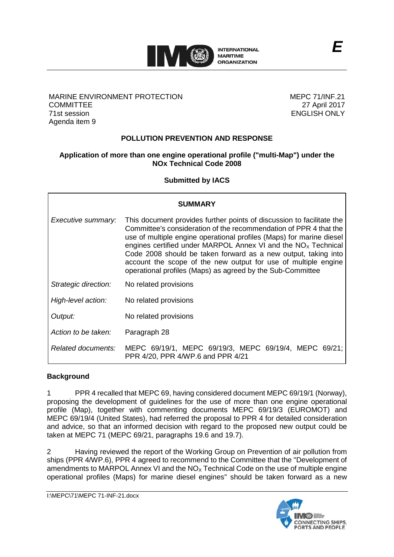

### MARINE ENVIRONMENT PROTECTION **COMMITTEE** 71st session Agenda item 9

MEPC 71/INF.21 27 April 2017 ENGLISH ONLY

# **POLLUTION PREVENTION AND RESPONSE**

### **Application of more than one engine operational profile ("multi-Map") under the NOx Technical Code 2008**

**Submitted by IACS**

| <b>SUMMARY</b>       |                                                                                                                                                                                                                                                                                                                                                                                                                                                                                         |
|----------------------|-----------------------------------------------------------------------------------------------------------------------------------------------------------------------------------------------------------------------------------------------------------------------------------------------------------------------------------------------------------------------------------------------------------------------------------------------------------------------------------------|
| Executive summary:   | This document provides further points of discussion to facilitate the<br>Committee's consideration of the recommendation of PPR 4 that the<br>use of multiple engine operational profiles (Maps) for marine diesel<br>engines certified under MARPOL Annex VI and the $NOx$ Technical<br>Code 2008 should be taken forward as a new output, taking into<br>account the scope of the new output for use of multiple engine<br>operational profiles (Maps) as agreed by the Sub-Committee |
| Strategic direction: | No related provisions                                                                                                                                                                                                                                                                                                                                                                                                                                                                   |
| High-level action:   | No related provisions                                                                                                                                                                                                                                                                                                                                                                                                                                                                   |
| Output:              | No related provisions                                                                                                                                                                                                                                                                                                                                                                                                                                                                   |
| Action to be taken:  | Paragraph 28                                                                                                                                                                                                                                                                                                                                                                                                                                                                            |
| Related documents:   | MEPC 69/19/1, MEPC 69/19/3, MEPC 69/19/4, MEPC 69/21;<br>PPR 4/20, PPR 4/WP.6 and PPR 4/21                                                                                                                                                                                                                                                                                                                                                                                              |

# **Background**

1 PPR 4 recalled that MEPC 69, having considered document MEPC 69/19/1 (Norway), proposing the development of guidelines for the use of more than one engine operational profile (Map), together with commenting documents MEPC 69/19/3 (EUROMOT) and MEPC 69/19/4 (United States), had referred the proposal to PPR 4 for detailed consideration and advice, so that an informed decision with regard to the proposed new output could be taken at MEPC 71 (MEPC 69/21, paragraphs 19.6 and 19.7).

2 Having reviewed the report of the Working Group on Prevention of air pollution from ships (PPR 4/WP.6), PPR 4 agreed to recommend to the Committee that the "Development of amendments to MARPOL Annex VI and the  $NO<sub>x</sub>$  Technical Code on the use of multiple engine operational profiles (Maps) for marine diesel engines" should be taken forward as a new

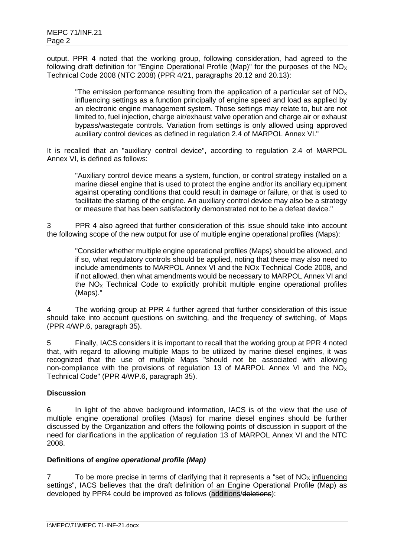output. PPR 4 noted that the working group, following consideration, had agreed to the following draft definition for "Engine Operational Profile (Map)" for the purposes of the  $NO<sub>X</sub>$ Technical Code 2008 (NTC 2008) (PPR 4/21, paragraphs 20.12 and 20.13):

"The emission performance resulting from the application of a particular set of  $NO_{\chi}$ influencing settings as a function principally of engine speed and load as applied by an electronic engine management system. Those settings may relate to, but are not limited to, fuel injection, charge air/exhaust valve operation and charge air or exhaust bypass/wastegate controls. Variation from settings is only allowed using approved auxiliary control devices as defined in regulation 2.4 of MARPOL Annex VI."

It is recalled that an "auxiliary control device", according to regulation 2.4 of MARPOL Annex VI, is defined as follows:

"Auxiliary control device means a system, function, or control strategy installed on a marine diesel engine that is used to protect the engine and/or its ancillary equipment against operating conditions that could result in damage or failure, or that is used to facilitate the starting of the engine. An auxiliary control device may also be a strategy or measure that has been satisfactorily demonstrated not to be a defeat device."

3 PPR 4 also agreed that further consideration of this issue should take into account the following scope of the new output for use of multiple engine operational profiles (Maps):

"Consider whether multiple engine operational profiles (Maps) should be allowed, and if so, what regulatory controls should be applied, noting that these may also need to include amendments to MARPOL Annex VI and the NOx Technical Code 2008, and if not allowed, then what amendments would be necessary to MARPOL Annex VI and the  $NO<sub>x</sub>$  Technical Code to explicitly prohibit multiple engine operational profiles (Maps)."

4 The working group at PPR 4 further agreed that further consideration of this issue should take into account questions on switching, and the frequency of switching, of Maps (PPR 4/WP.6, paragraph 35).

5 Finally, IACS considers it is important to recall that the working group at PPR 4 noted that, with regard to allowing multiple Maps to be utilized by marine diesel engines, it was recognized that the use of multiple Maps "should not be associated with allowing non-compliance with the provisions of regulation 13 of MARPOL Annex VI and the  $NO<sub>x</sub>$ Technical Code" (PPR 4/WP.6, paragraph 35).

### **Discussion**

6 In light of the above background information, IACS is of the view that the use of multiple engine operational profiles (Maps) for marine diesel engines should be further discussed by the Organization and offers the following points of discussion in support of the need for clarifications in the application of regulation 13 of MARPOL Annex VI and the NTC 2008.

### **Definitions of** *engine operational profile (Map)*

7 To be more precise in terms of clarifying that it represents a "set of  $NO<sub>X</sub>$  influencing settings", IACS believes that the draft definition of an Engine Operational Profile (Map) as developed by PPR4 could be improved as follows (additions/deletions):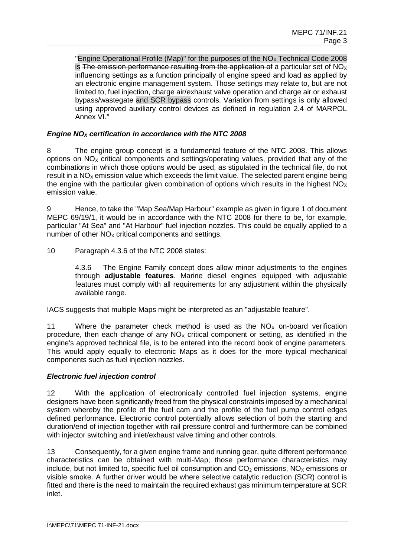"Engine Operational Profile (Map)" for the purposes of the  $NO<sub>x</sub>$  Technical Code 2008 is The emission performance resulting from the application of a particular set of  $NO<sub>X</sub>$ influencing settings as a function principally of engine speed and load as applied by an electronic engine management system. Those settings may relate to, but are not limited to, fuel injection, charge air/exhaust valve operation and charge air or exhaust bypass/wastegate and SCR bypass controls. Variation from settings is only allowed using approved auxiliary control devices as defined in regulation 2.4 of MARPOL Annex VI."

### *Engine NOX certification in accordance with the NTC 2008*

8 The engine group concept is a fundamental feature of the NTC 2008. This allows options on  $NO<sub>x</sub>$  critical components and settings/operating values, provided that any of the combinations in which those options would be used, as stipulated in the technical file, do not result in a  $NO<sub>x</sub>$  emission value which exceeds the limit value. The selected parent engine being the engine with the particular given combination of options which results in the highest  $NO<sub>x</sub>$ emission value.

9 Hence, to take the "Map Sea/Map Harbour" example as given in figure 1 of document MEPC 69/19/1, it would be in accordance with the NTC 2008 for there to be, for example, particular "At Sea" and "At Harbour" fuel injection nozzles. This could be equally applied to a number of other  $NO<sub>x</sub>$  critical components and settings.

10 Paragraph 4.3.6 of the NTC 2008 states:

4.3.6 The Engine Family concept does allow minor adjustments to the engines through **adjustable features**. Marine diesel engines equipped with adjustable features must comply with all requirements for any adjustment within the physically available range.

IACS suggests that multiple Maps might be interpreted as an "adjustable feature".

11 Where the parameter check method is used as the  $NO<sub>x</sub>$  on-board verification procedure, then each change of any  $NO<sub>x</sub>$  critical component or setting, as identified in the engine's approved technical file, is to be entered into the record book of engine parameters. This would apply equally to electronic Maps as it does for the more typical mechanical components such as fuel injection nozzles.

### *Electronic fuel injection control*

12 With the application of electronically controlled fuel injection systems, engine designers have been significantly freed from the physical constraints imposed by a mechanical system whereby the profile of the fuel cam and the profile of the fuel pump control edges defined performance. Electronic control potentially allows selection of both the starting and duration/end of injection together with rail pressure control and furthermore can be combined with injector switching and inlet/exhaust valve timing and other controls.

13 Consequently, for a given engine frame and running gear, quite different performance characteristics can be obtained with multi-Map; those performance characteristics may include, but not limited to, specific fuel oil consumption and  $CO<sub>2</sub>$  emissions,  $NO<sub>X</sub>$  emissions or visible smoke. A further driver would be where selective catalytic reduction (SCR) control is fitted and there is the need to maintain the required exhaust gas minimum temperature at SCR inlet.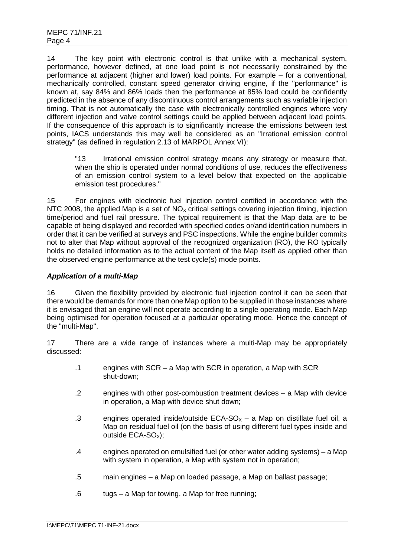14 The key point with electronic control is that unlike with a mechanical system, performance, however defined, at one load point is not necessarily constrained by the performance at adjacent (higher and lower) load points. For example – for a conventional, mechanically controlled, constant speed generator driving engine, if the "performance" is known at, say 84% and 86% loads then the performance at 85% load could be confidently predicted in the absence of any discontinuous control arrangements such as variable injection timing. That is not automatically the case with electronically controlled engines where very different injection and valve control settings could be applied between adjacent load points. If the consequence of this approach is to significantly increase the emissions between test points, IACS understands this may well be considered as an "Irrational emission control strategy" (as defined in regulation 2.13 of MARPOL Annex VI):

"13 Irrational emission control strategy means any strategy or measure that, when the ship is operated under normal conditions of use, reduces the effectiveness of an emission control system to a level below that expected on the applicable emission test procedures."

15 For engines with electronic fuel injection control certified in accordance with the NTC 2008, the applied Map is a set of  $NO<sub>x</sub>$  critical settings covering injection timing, injection time/period and fuel rail pressure. The typical requirement is that the Map data are to be capable of being displayed and recorded with specified codes or/and identification numbers in order that it can be verified at surveys and PSC inspections. While the engine builder commits not to alter that Map without approval of the recognized organization (RO), the RO typically holds no detailed information as to the actual content of the Map itself as applied other than the observed engine performance at the test cycle(s) mode points.

### *Application of a multi-Map*

16 Given the flexibility provided by electronic fuel injection control it can be seen that there would be demands for more than one Map option to be supplied in those instances where it is envisaged that an engine will not operate according to a single operating mode. Each Map being optimised for operation focused at a particular operating mode. Hence the concept of the "multi-Map".

17 There are a wide range of instances where a multi-Map may be appropriately discussed:

- .1 engines with SCR a Map with SCR in operation, a Map with SCR shut-down;
- .2 engines with other post-combustion treatment devices a Map with device in operation, a Map with device shut down;
- .3 engines operated inside/outside  $ECA-SO<sub>x</sub> a$  Map on distillate fuel oil, a Map on residual fuel oil (on the basis of using different fuel types inside and outside ECA-SO<sub>x</sub>):
- .4 engines operated on emulsified fuel (or other water adding systems) a Map with system in operation, a Map with system not in operation:
- .5 main engines a Map on loaded passage, a Map on ballast passage;
- .6 tugs a Map for towing, a Map for free running;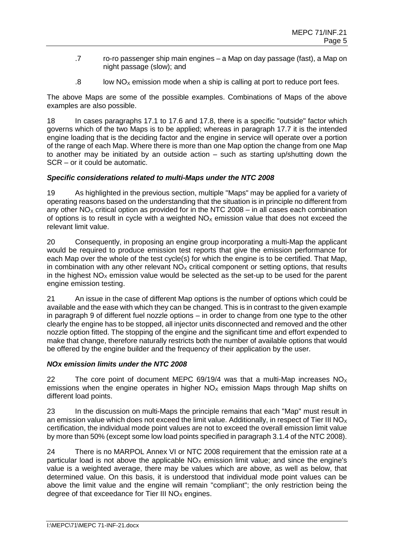- .7 ro-ro passenger ship main engines a Map on day passage (fast), a Map on night passage (slow); and
- $.8$  low NO<sub>X</sub> emission mode when a ship is calling at port to reduce port fees.

The above Maps are some of the possible examples. Combinations of Maps of the above examples are also possible.

18 In cases paragraphs 17.1 to 17.6 and 17.8, there is a specific "outside" factor which governs which of the two Maps is to be applied; whereas in paragraph 17.7 it is the intended engine loading that is the deciding factor and the engine in service will operate over a portion of the range of each Map. Where there is more than one Map option the change from one Map to another may be initiated by an outside action – such as starting up/shutting down the SCR – or it could be automatic.

# *Specific considerations related to multi-Maps under the NTC 2008*

19 As highlighted in the previous section, multiple "Maps" may be applied for a variety of operating reasons based on the understanding that the situation is in principle no different from any other  $NO<sub>x</sub>$  critical option as provided for in the NTC 2008 – in all cases each combination of options is to result in cycle with a weighted  $NO<sub>x</sub>$  emission value that does not exceed the relevant limit value.

20 Consequently, in proposing an engine group incorporating a multi-Map the applicant would be required to produce emission test reports that give the emission performance for each Map over the whole of the test cycle(s) for which the engine is to be certified. That Map, in combination with any other relevant  $NO<sub>x</sub>$  critical component or setting options, that results in the highest  $NO<sub>x</sub>$  emission value would be selected as the set-up to be used for the parent engine emission testing.

21 An issue in the case of different Map options is the number of options which could be available and the ease with which they can be changed. This is in contrast to the given example in paragraph 9 of different fuel nozzle options – in order to change from one type to the other clearly the engine has to be stopped, all injector units disconnected and removed and the other nozzle option fitted. The stopping of the engine and the significant time and effort expended to make that change, therefore naturally restricts both the number of available options that would be offered by the engine builder and the frequency of their application by the user.

# *NOx emission limits under the NTC 2008*

22 The core point of document MEPC 69/19/4 was that a multi-Map increases  $NO<sub>x</sub>$ emissions when the engine operates in higher  $NO_x$  emission Maps through Map shifts on different load points.

23 In the discussion on multi-Maps the principle remains that each "Map" must result in an emission value which does not exceed the limit value. Additionally, in respect of Tier III  $NO_x$ certification, the individual mode point values are not to exceed the overall emission limit value by more than 50% (except some low load points specified in paragraph 3.1.4 of the NTC 2008).

24 There is no MARPOL Annex VI or NTC 2008 requirement that the emission rate at a particular load is not above the applicable  $NO<sub>x</sub>$  emission limit value; and since the engine's value is a weighted average, there may be values which are above, as well as below, that determined value. On this basis, it is understood that individual mode point values can be above the limit value and the engine will remain "compliant"; the only restriction being the degree of that exceedance for Tier III  $NO<sub>x</sub>$  engines.